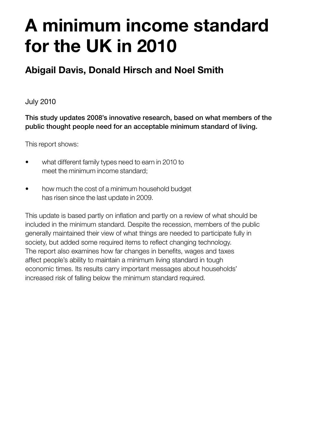# **A minimum income standard for the UK in 2010**

### **Abigail Davis, Donald Hirsch and Noel Smith**

July 2010

This study updates 2008's innovative research, based on what members of the public thought people need for an acceptable minimum standard of living.

This report shows:

- what different family types need to earn in 2010 to meet the minimum income standard;
- how much the cost of a minimum household budget has risen since the last update in 2009.

This update is based partly on inflation and partly on a review of what should be included in the minimum standard. Despite the recession, members of the public generally maintained their view of what things are needed to participate fully in society, but added some required items to reflect changing technology. The report also examines how far changes in benefits, wages and taxes affect people's ability to maintain a minimum living standard in tough economic times. Its results carry important messages about households' increased risk of falling below the minimum standard required.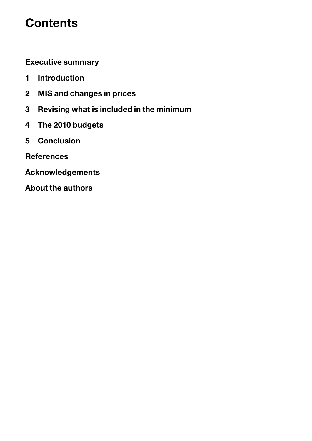# **Contents**

**[Executive summary](#page-2-0)**

- **[1 Introduction](#page-5-0)**
- **[2 MIS and changes in prices](#page-9-0)**
- **[3 Revising what is included in the minimum](#page-13-0)**
- **[4 The 2010 budgets](#page-22-0)**
- **[5 Conclusion](#page-27-0)**
- **[References](#page-29-0)**
- **[Acknowledgements](#page-31-0)**
- **[About the authors](#page-31-1)**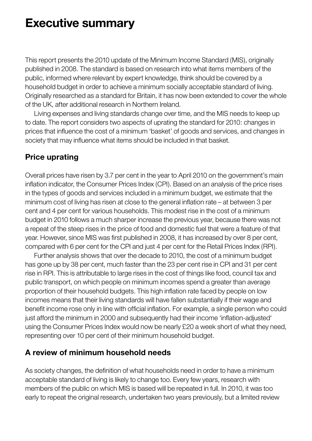### <span id="page-2-0"></span>**Executive summary**

This report presents the 2010 update of the Minimum Income Standard (MIS), originally published in 2008. The standard is based on research into what items members of the public, informed where relevant by expert knowledge, think should be covered by a household budget in order to achieve a minimum socially acceptable standard of living. Originally researched as a standard for Britain, it has now been extended to cover the whole of the UK, after additional research in Northern Ireland.

 Living expenses and living standards change over time, and the MIS needs to keep up to date. The report considers two aspects of uprating the standard for 2010: changes in prices that influence the cost of a minimum 'basket' of goods and services, and changes in society that may influence what items should be included in that basket.

#### **Price uprating**

Overall prices have risen by 3.7 per cent in the year to April 2010 on the government's main inflation indicator, the Consumer Prices Index (CPI). Based on an analysis of the price rises in the types of goods and services included in a minimum budget, we estimate that the minimum cost of living has risen at close to the general inflation rate – at between 3 per cent and 4 per cent for various households. This modest rise in the cost of a minimum budget in 2010 follows a much sharper increase the previous year, because there was not a repeat of the steep rises in the price of food and domestic fuel that were a feature of that year. However, since MIS was first published in 2008, it has increased by over 8 per cent, compared with 6 per cent for the CPI and just 4 per cent for the Retail Prices Index (RPI).

 Further analysis shows that over the decade to 2010, the cost of a minimum budget has gone up by 38 per cent, much faster than the 23 per cent rise in CPI and 31 per cent rise in RPI. This is attributable to large rises in the cost of things like food, council tax and public transport, on which people on minimum incomes spend a greater than average proportion of their household budgets. This high inflation rate faced by people on low incomes means that their living standards will have fallen substantially if their wage and benefit income rose only in line with official inflation. For example, a single person who could just afford the minimum in 2000 and subsequently had their income 'inflation-adjusted' using the Consumer Prices Index would now be nearly £20 a week short of what they need, representing over 10 per cent of their minimum household budget.

#### **A review of minimum household needs**

As society changes, the definition of what households need in order to have a minimum acceptable standard of living is likely to change too. Every few years, research with members of the public on which MIS is based will be repeated in full. In 2010, it was too early to repeat the original research, undertaken two years previously, but a limited review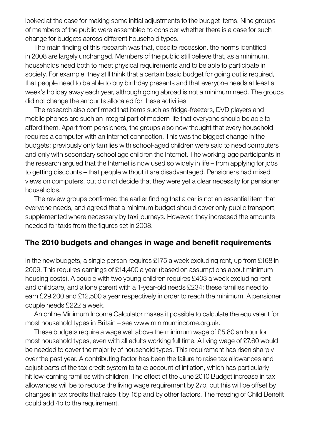looked at the case for making some initial adjustments to the budget items. Nine groups of members of the public were assembled to consider whether there is a case for such change for budgets across different household types.

 The main finding of this research was that, despite recession, the norms identified in 2008 are largely unchanged. Members of the public still believe that, as a minimum, households need both to meet physical requirements and to be able to participate in society. For example, they still think that a certain basic budget for going out is required, that people need to be able to buy birthday presents and that everyone needs at least a week's holiday away each year, although going abroad is not a minimum need. The groups did not change the amounts allocated for these activities.

 The research also confirmed that items such as fridge-freezers, DVD players and mobile phones are such an integral part of modern life that everyone should be able to afford them. Apart from pensioners, the groups also now thought that every household requires a computer with an Internet connection. This was the biggest change in the budgets; previously only families with school-aged children were said to need computers and only with secondary school age children the Internet. The working-age participants in the research argued that the Internet is now used so widely in life – from applying for jobs to getting discounts – that people without it are disadvantaged. Pensioners had mixed views on computers, but did not decide that they were yet a clear necessity for pensioner households.

 The review groups confirmed the earlier finding that a car is not an essential item that everyone needs, and agreed that a minimum budget should cover only public transport, supplemented where necessary by taxi journeys. However, they increased the amounts needed for taxis from the figures set in 2008.

#### **The 2010 budgets and changes in wage and benefit requirements**

In the new budgets, a single person requires £175 a week excluding rent, up from £168 in 2009. This requires earnings of £14,400 a year (based on assumptions about minimum housing costs). A couple with two young children requires £403 a week excluding rent and childcare, and a lone parent with a 1-year-old needs £234; these families need to earn £29,200 and £12,500 a year respectively in order to reach the minimum. A pensioner couple needs £222 a week.

 An online Minimum Income Calculator makes it possible to calculate the equivalent for most household types in Britain – see www.minimumincome.org.uk.

 These budgets require a wage well above the minimum wage of £5.80 an hour for most household types, even with all adults working full time. A living wage of £7.60 would be needed to cover the majority of household types. This requirement has risen sharply over the past year. A contributing factor has been the failure to raise tax allowances and adjust parts of the tax credit system to take account of inflation, which has particularly hit low-earning families with children. The effect of the June 2010 Budget increase in tax allowances will be to reduce the living wage requirement by 27p, but this will be offset by changes in tax credits that raise it by 15p and by other factors. The freezing of Child Benefit could add 4p to the requirement.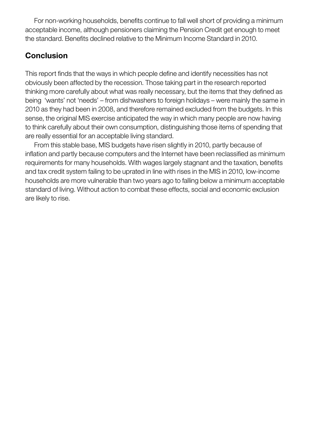For non-working households, benefits continue to fall well short of providing a minimum acceptable income, although pensioners claiming the Pension Credit get enough to meet the standard. Benefits declined relative to the Minimum Income Standard in 2010.

#### **Conclusion**

This report finds that the ways in which people define and identify necessities has not obviously been affected by the recession. Those taking part in the research reported thinking more carefully about what was really necessary, but the items that they defined as being 'wants' not 'needs' – from dishwashers to foreign holidays – were mainly the same in 2010 as they had been in 2008, and therefore remained excluded from the budgets. In this sense, the original MIS exercise anticipated the way in which many people are now having to think carefully about their own consumption, distinguishing those items of spending that are really essential for an acceptable living standard.

 From this stable base, MIS budgets have risen slightly in 2010, partly because of inflation and partly because computers and the Internet have been reclassified as minimum requirements for many households. With wages largely stagnant and the taxation, benefits and tax credit system failing to be uprated in line with rises in the MIS in 2010, low-income households are more vulnerable than two years ago to falling below a minimum acceptable standard of living. Without action to combat these effects, social and economic exclusion are likely to rise.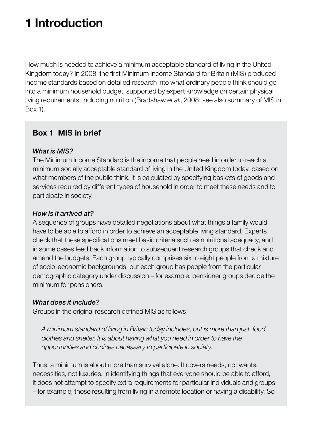# <span id="page-5-0"></span>**1 Introduction**

How much is needed to achieve a minimum acceptable standard of living in the United Kingdom today? In 2008, the first Minimum Income Standard for Britain (MIS) produced income standards based on detailed research into what ordinary people think should go into a minimum household budget, supported by expert knowledge on certain physical living requirements, including nutrition (Bradshaw *et al.*, 2008; see also summary of MIS in Box 1).

#### **Box 1 MIS in brief**

#### *What is MIS?*

The Minimum Income Standard is the income that people need in order to reach a minimum socially acceptable standard of living in the United Kingdom today, based on what members of the public think. It is calculated by specifying baskets of goods and services required by different types of household in order to meet these needs and to participate in society.

#### *How is it arrived at?*

A sequence of groups have detailed negotiations about what things a family would have to be able to afford in order to achieve an acceptable living standard. Experts check that these specifications meet basic criteria such as nutritional adequacy, and in some cases feed back information to subsequent research groups that check and amend the budgets. Each group typically comprises six to eight people from a mixture of socio-economic backgrounds, but each group has people from the particular demographic category under discussion – for example, pensioner groups decide the minimum for pensioners.

#### *What does it include?*

Groups in the original research defined MIS as follows:

*A minimum standard of living in Britain today includes, but is more than just, food, clothes and shelter. It is about having what you need in order to have the opportunities and choices necessary to participate in society.* 

Thus, a minimum is about more than survival alone. It covers needs, not wants, necessities, not luxuries. In identifying things that everyone should be able to afford, it does not attempt to specify extra requirements for particular individuals and groups – for example, those resulting from living in a remote location or having a disability. So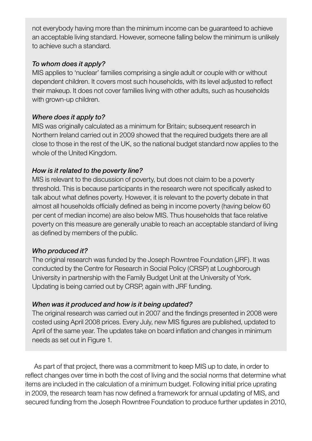not everybody having more than the minimum income can be guaranteed to achieve an acceptable living standard. However, someone falling below the minimum is unlikely to achieve such a standard.

#### *To whom does it apply?*

MIS applies to 'nuclear' families comprising a single adult or couple with or without dependent children. It covers most such households, with its level adjusted to reflect their makeup. It does not cover families living with other adults, such as households with grown-up children.

#### *Where does it apply to?*

MIS was originally calculated as a minimum for Britain; subsequent research in Northern Ireland carried out in 2009 showed that the required budgets there are all close to those in the rest of the UK, so the national budget standard now applies to the whole of the United Kingdom.

#### *How is it related to the poverty line?*

MIS is relevant to the discussion of poverty, but does not claim to be a poverty threshold. This is because participants in the research were not specifically asked to talk about what defines poverty. However, it is relevant to the poverty debate in that almost all households officially defined as being in income poverty (having below 60 per cent of median income) are also below MIS. Thus households that face relative poverty on this measure are generally unable to reach an acceptable standard of living as defined by members of the public.

#### *Who produced it?*

The original research was funded by the Joseph Rowntree Foundation (JRF). It was conducted by the Centre for Research in Social Policy (CRSP) at Loughborough University in partnership with the Family Budget Unit at the University of York. Updating is being carried out by CRSP, again with JRF funding.

#### *When was it produced and how is it being updated?*

The original research was carried out in 2007 and the findings presented in 2008 were costed using April 2008 prices. Every July, new MIS figures are published, updated to April of the same year. The updates take on board inflation and changes in minimum needs as set out in Figure 1.

 As part of that project, there was a commitment to keep MIS up to date, in order to reflect changes over time in both the cost of living and the social norms that determine what items are included in the calculation of a minimum budget. Following initial price uprating in 2009, the research team has now defined a framework for annual updating of MIS, and secured funding from the Joseph Rowntree Foundation to produce further updates in 2010,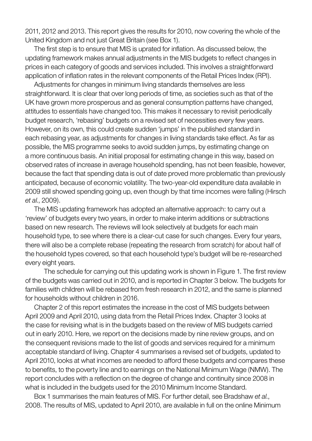2011, 2012 and 2013. This report gives the results for 2010, now covering the whole of the United Kingdom and not just Great Britain (see Box 1).

 The first step is to ensure that MIS is uprated for inflation. As discussed below, the updating framework makes annual adjustments in the MIS budgets to reflect changes in prices in each category of goods and services included. This involves a straightforward application of inflation rates in the relevant components of the Retail Prices Index (RPI).

 Adjustments for changes in minimum living standards themselves are less straightforward. It is clear that over long periods of time, as societies such as that of the UK have grown more prosperous and as general consumption patterns have changed, attitudes to essentials have changed too. This makes it necessary to revisit periodically budget research, 'rebasing' budgets on a revised set of necessities every few years. However, on its own, this could create sudden 'jumps' in the published standard in each rebasing year, as adjustments for changes in living standards take effect. As far as possible, the MIS programme seeks to avoid sudden jumps, by estimating change on a more continuous basis. An initial proposal for estimating change in this way, based on observed rates of increase in average household spending, has not been feasible, however, because the fact that spending data is out of date proved more problematic than previously anticipated, because of economic volatility. The two-year-old expenditure data available in 2009 still showed spending going up, even though by that time incomes were falling (Hirsch *et al.*, 2009).

 The MIS updating framework has adopted an alternative approach: to carry out a 'review' of budgets every two years, in order to make interim additions or subtractions based on new research. The reviews will look selectively at budgets for each main household type, to see where there is a clear-cut case for such changes. Every four years, there will also be a complete rebase (repeating the research from scratch) for about half of the household types covered, so that each household type's budget will be re-researched every eight years.

 The schedule for carrying out this updating work is shown in Figure 1. The first review of the budgets was carried out in 2010, and is reported in Chapter 3 below. The budgets for families with children will be rebased from fresh research in 2012, and the same is planned for households without children in 2016.

 Chapter 2 of this report estimates the increase in the cost of MIS budgets between April 2009 and April 2010, using data from the Retail Prices Index. Chapter 3 looks at the case for revising what is in the budgets based on the review of MIS budgets carried out in early 2010. Here, we report on the decisions made by nine review groups, and on the consequent revisions made to the list of goods and services required for a minimum acceptable standard of living. Chapter 4 summarises a revised set of budgets, updated to April 2010, looks at what incomes are needed to afford these budgets and compares these to benefits, to the poverty line and to earnings on the National Minimum Wage (NMW). The report concludes with a reflection on the degree of change and continuity since 2008 in what is included in the budgets used for the 2010 Minimum Income Standard.

 Box 1 summarises the main features of MIS. For further detail, see Bradshaw *et al.*, 2008. The results of MIS, updated to April 2010, are available in full on the online Minimum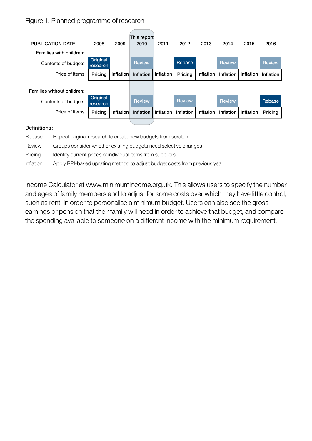#### Figure 1. Planned programme of research

| <b>PUBLICATION DATE</b>    | 2008                 | 2009      | This report<br>2010 | 2011      | 2012          | 2013      | 2014          | 2015      | 2016          |
|----------------------------|----------------------|-----------|---------------------|-----------|---------------|-----------|---------------|-----------|---------------|
| Families with children:    |                      |           |                     |           |               |           |               |           |               |
| Contents of budgets        | Original<br>research |           | <b>Review</b>       |           | <b>Rebase</b> |           | <b>Review</b> |           | <b>Review</b> |
| Price of items             | Pricing              | Inflation | Inflation           | Inflation | Pricing       | Inflation | Inflation     | Inflation | Inflation     |
|                            |                      |           |                     |           |               |           |               |           |               |
| Families without children: |                      |           |                     |           |               |           |               |           |               |
| Contents of budgets        | Original<br>research |           | <b>Review</b>       |           | <b>Review</b> |           | <b>Review</b> |           | Rebase        |
| Price of items             | Pricing              | Inflation | Inflation           | Inflation | Inflation     | Inflation | Inflation     | Inflation | Pricing       |
| 7.                         |                      |           |                     |           |               |           |               |           |               |

#### Definitions:

| Rebase    | Repeat original research to create new budgets from scratch               |
|-----------|---------------------------------------------------------------------------|
| Review    | Groups consider whether existing budgets need selective changes           |
| Pricing   | Identify current prices of individual items from suppliers                |
| Inflation | Apply RPI-based uprating method to adjust budget costs from previous year |

Income Calculator at www.minimumincome.org.uk. This allows users to specify the number and ages of family members and to adjust for some costs over which they have little control, such as rent, in order to personalise a minimum budget. Users can also see the gross earnings or pension that their family will need in order to achieve that budget, and compare the spending available to someone on a different income with the minimum requirement.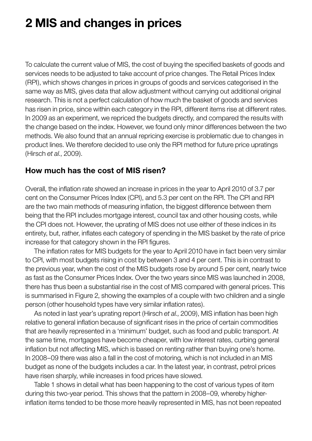# <span id="page-9-0"></span>**2 MIS and changes in prices**

To calculate the current value of MIS, the cost of buying the specified baskets of goods and services needs to be adjusted to take account of price changes. The Retail Prices Index (RPI), which shows changes in prices in groups of goods and services categorised in the same way as MIS, gives data that allow adjustment without carrying out additional original research. This is not a perfect calculation of how much the basket of goods and services has risen in price, since within each category in the RPI, different items rise at different rates. In 2009 as an experiment, we repriced the budgets directly, and compared the results with the change based on the index. However, we found only minor differences between the two methods. We also found that an annual repricing exercise is problematic due to changes in product lines. We therefore decided to use only the RPI method for future price upratings (Hirsch *et al.*, 2009).

#### **How much has the cost of MIS risen?**

Overall, the inflation rate showed an increase in prices in the year to April 2010 of 3.7 per cent on the Consumer Prices Index (CPI), and 5.3 per cent on the RPI. The CPI and RPI are the two main methods of measuring inflation, the biggest difference between them being that the RPI includes mortgage interest, council tax and other housing costs, while the CPI does not. However, the uprating of MIS does not use either of these indices in its entirety, but, rather, inflates each category of spending in the MIS basket by the rate of price increase for that category shown in the RPI figures.

 The inflation rates for MIS budgets for the year to April 2010 have in fact been very similar to CPI, with most budgets rising in cost by between 3 and 4 per cent. This is in contrast to the previous year, when the cost of the MIS budgets rose by around 5 per cent, nearly twice as fast as the Consumer Prices Index. Over the two years since MIS was launched in 2008, there has thus been a substantial rise in the cost of MIS compared with general prices. This is summarised in Figure 2, showing the examples of a couple with two children and a single person (other household types have very similar inflation rates).

 As noted in last year's uprating report (Hirsch *et al.*, 2009), MIS inflation has been high relative to general inflation because of significant rises in the price of certain commodities that are heavily represented in a 'minimum' budget, such as food and public transport. At the same time, mortgages have become cheaper, with low interest rates, curbing general inflation but not affecting MIS, which is based on renting rather than buying one's home. In 2008–09 there was also a fall in the cost of motoring, which is not included in an MIS budget as none of the budgets includes a car. In the latest year, in contrast, petrol prices have risen sharply, while increases in food prices have slowed.

 Table 1 shows in detail what has been happening to the cost of various types of item during this two-year period. This shows that the pattern in 2008–09, whereby higherinflation items tended to be those more heavily represented in MIS, has not been repeated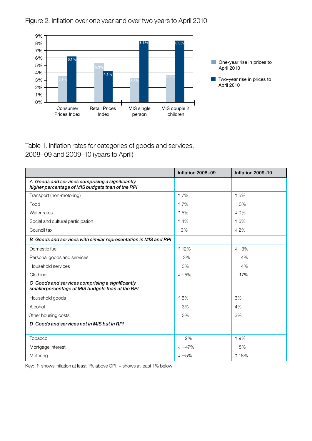



Table 1. Inflation rates for categories of goods and services, 2008–09 and 2009–10 (years to April)

|                                                                                                     | Inflation 2008-09  | Inflation 2009-10 |
|-----------------------------------------------------------------------------------------------------|--------------------|-------------------|
| A Goods and services comprising a significantly<br>higher percentage of MIS budgets than of the RPI |                    |                   |
| Transport (non-motoring)                                                                            | <b>17%</b>         | <b>15%</b>        |
| Food                                                                                                | <b>17%</b>         | 3%                |
| Water rates                                                                                         | 15%                | $\downarrow$ 0%   |
| Social and cultural participation                                                                   | <b>14%</b>         | 15%               |
| Council tax                                                                                         | 3%                 | $\downarrow$ 2%   |
| B Goods and services with similar representation in MIS and RPI                                     |                    |                   |
| Domestic fuel                                                                                       | <b>12%</b>         | $+-3%$            |
| Personal goods and services                                                                         | 3%                 | 4%                |
| Household services                                                                                  | 3%                 | 4%                |
| Clothing                                                                                            | $+-5%$             | 17%               |
| C Goods and services comprising a significantly<br>smallerpercentage of MIS budgets than of the RPI |                    |                   |
| Household goods                                                                                     | 16%                | 3%                |
| Alcohol                                                                                             | 3%                 | 4%                |
| Other housing costs                                                                                 | 3%                 | 3%                |
| D Goods and services not in MIS but in RPI                                                          |                    |                   |
| Tobacco                                                                                             | 2%                 | 19%               |
| Mortgage interest                                                                                   | $\downarrow -47\%$ | 5%                |
| Motoring                                                                                            | $+ -5\%$           | <b>18%</b>        |

Key:  $\uparrow$  shows inflation at least 1% above CPI,  $\downarrow$  shows at least 1% below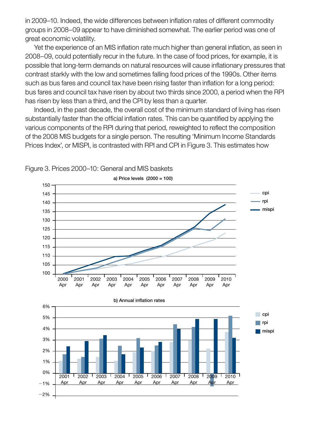in 2009–10. Indeed, the wide differences between inflation rates of different commodity groups in 2008–09 appear to have diminished somewhat. The earlier period was one of great economic volatility.

 Yet the experience of an MIS inflation rate much higher than general inflation, as seen in 2008–09, could potentially recur in the future. In the case of food prices, for example, it is possible that long-term demands on natural resources will cause inflationary pressures that contrast starkly with the low and sometimes falling food prices of the 1990s. Other items such as bus fares and council tax have been rising faster than inflation for a long period: bus fares and council tax have risen by about two thirds since 2000, a period when the RPI has risen by less than a third, and the CPI by less than a quarter.

 Indeed, in the past decade, the overall cost of the minimum standard of living has risen substantially faster than the official inflation rates. This can be quantified by applying the various components of the RPI during that period, reweighted to reflect the composition of the 2008 MIS budgets for a single person. The resulting 'Minimum Income Standards Prices Index', or MISPI, is contrasted with RPI and CPI in Figure 3. This estimates how



#### Figure 3. Prices 2000–10: General and MIS baskets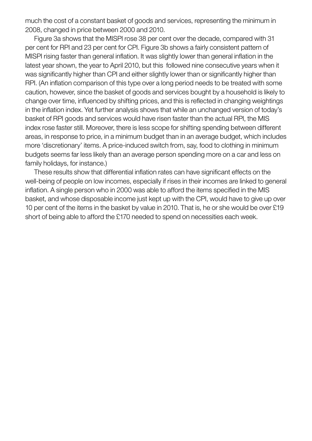much the cost of a constant basket of goods and services, representing the minimum in 2008, changed in price between 2000 and 2010.

 Figure 3a shows that the MISPI rose 38 per cent over the decade, compared with 31 per cent for RPI and 23 per cent for CPI. Figure 3b shows a fairly consistent pattern of MISPI rising faster than general inflation. It was slightly lower than general inflation in the latest year shown, the year to April 2010, but this followed nine consecutive years when it was significantly higher than CPI and either slightly lower than or significantly higher than RPI. (An inflation comparison of this type over a long period needs to be treated with some caution, however, since the basket of goods and services bought by a household is likely to change over time, influenced by shifting prices, and this is reflected in changing weightings in the inflation index. Yet further analysis shows that while an unchanged version of today's basket of RPI goods and services would have risen faster than the actual RPI, the MIS index rose faster still. Moreover, there is less scope for shifting spending between different areas, in response to price, in a minimum budget than in an average budget, which includes more 'discretionary' items. A price-induced switch from, say, food to clothing in minimum budgets seems far less likely than an average person spending more on a car and less on family holidays, for instance.)

 These results show that differential inflation rates can have significant effects on the well-being of people on low incomes, especially if rises in their incomes are linked to general inflation. A single person who in 2000 was able to afford the items specified in the MIS basket, and whose disposable income just kept up with the CPI, would have to give up over 10 per cent of the items in the basket by value in 2010. That is, he or she would be over £19 short of being able to afford the £170 needed to spend on necessities each week.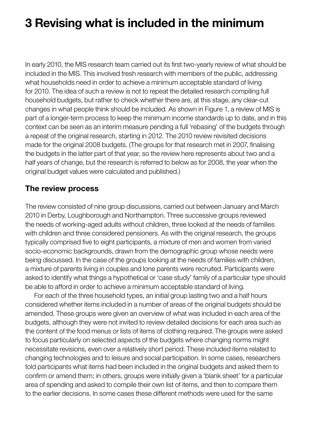# <span id="page-13-0"></span>**3 Revising what is included in the minimum**

In early 2010, the MIS research team carried out its first two-yearly review of what should be included in the MIS. This involved fresh research with members of the public, addressing what households need in order to achieve a minimum acceptable standard of living for 2010. The idea of such a review is not to repeat the detailed research compiling full household budgets, but rather to check whether there are, at this stage, any clear-cut changes in what people think should be included. As shown in Figure 1, a review of MIS is part of a longer-term process to keep the minimum income standards up to date, and in this context can be seen as an interim measure pending a full 'rebasing' of the budgets through a repeat of the original research, starting in 2012. The 2010 review revisited decisions made for the original 2008 budgets. (The groups for that research met in 2007, finalising the budgets in the latter part of that year, so the review here represents about two and a half years of change, but the research is referred to below as for 2008, the year when the original budget values were calculated and published.)

#### **The review process**

The review consisted of nine group discussions, carried out between January and March 2010 in Derby, Loughborough and Northampton. Three successive groups reviewed the needs of working-aged adults without children, three looked at the needs of families with children and three considered pensioners. As with the original research, the groups typically comprised five to eight participants, a mixture of men and women from varied socio-economic backgrounds, drawn from the demographic group whose needs were being discussed. In the case of the groups looking at the needs of families with children, a mixture of parents living in couples and lone parents were recruited. Participants were asked to identify what things a hypothetical or 'case study' family of a particular type should be able to afford in order to achieve a minimum acceptable standard of living.

 For each of the three household types, an initial group lasting two and a half hours considered whether items included in a number of areas of the original budgets should be amended. These groups were given an overview of what was included in each area of the budgets, although they were not invited to review detailed decisions for each area such as the content of the food menus or lists of items of clothing required. The groups were asked to focus particularly on selected aspects of the budgets where changing norms might necessitate revisions, even over a relatively short period. These included items related to changing technologies and to leisure and social participation. In some cases, researchers told participants what items had been included in the original budgets and asked them to confirm or amend them; in others, groups were initially given a 'blank sheet' for a particular area of spending and asked to compile their own list of items, and then to compare them to the earlier decisions. In some cases these different methods were used for the same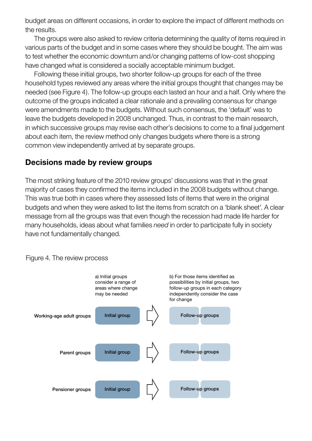budget areas on different occasions, in order to explore the impact of different methods on the results.

 The groups were also asked to review criteria determining the quality of items required in various parts of the budget and in some cases where they should be bought. The aim was to test whether the economic downturn and/or changing patterns of low-cost shopping have changed what is considered a socially acceptable minimum budget.

 Following these initial groups, two shorter follow-up groups for each of the three household types reviewed any areas where the initial groups thought that changes may be needed (see Figure 4). The follow-up groups each lasted an hour and a half. Only where the outcome of the groups indicated a clear rationale and a prevailing consensus for change were amendments made to the budgets. Without such consensus, the 'default' was to leave the budgets developed in 2008 unchanged. Thus, in contrast to the main research, in which successive groups may revise each other's decisions to come to a final judgement about each item, the review method only changes budgets where there is a strong common view independently arrived at by separate groups.

#### **Decisions made by review groups**

The most striking feature of the 2010 review groups' discussions was that in the great majority of cases they confirmed the items included in the 2008 budgets without change. This was true both in cases where they assessed lists of items that were in the original budgets and when they were asked to list the items from scratch on a 'blank sheet'. A clear message from all the groups was that even though the recession had made life harder for many households, ideas about what families *need* in order to participate fully in society have not fundamentally changed.

#### Figure 4. The review process

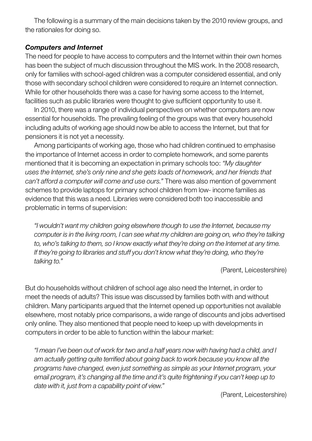The following is a summary of the main decisions taken by the 2010 review groups, and the rationales for doing so.

#### *Computers and Internet*

The need for people to have access to computers and the Internet within their own homes has been the subject of much discussion throughout the MIS work. In the 2008 research, only for families with school-aged children was a computer considered essential, and only those with secondary school children were considered to require an Internet connection. While for other households there was a case for having some access to the Internet, facilities such as public libraries were thought to give sufficient opportunity to use it.

 In 2010, there was a range of individual perspectives on whether computers are now essential for households. The prevailing feeling of the groups was that every household including adults of working age should now be able to access the Internet, but that for pensioners it is not yet a necessity.

 Among participants of working age, those who had children continued to emphasise the importance of Internet access in order to complete homework, and some parents mentioned that it is becoming an expectation in primary schools too: *"My daughter uses the Internet, she's only nine and she gets loads of homework, and her friends that can't afford a computer will come and use ours."* There was also mention of government schemes to provide laptops for primary school children from low- income families as evidence that this was a need. Libraries were considered both too inaccessible and problematic in terms of supervision:

*"I wouldn't want my children going elsewhere though to use the Internet, because my computer is in the living room, I can see what my children are going on, who they're talking to, who's talking to them, so I know exactly what they're doing on the Internet at any time. If they're going to libraries and stuff you don't know what they're doing, who they're talking to."*

(Parent, Leicestershire)

But do households without children of school age also need the Internet, in order to meet the needs of adults? This issue was discussed by families both with and without children. Many participants argued that the Internet opened up opportunities not available elsewhere, most notably price comparisons, a wide range of discounts and jobs advertised only online. They also mentioned that people need to keep up with developments in computers in order to be able to function within the labour market:

*"I mean I've been out of work for two and a half years now with having had a child, and I am actually getting quite terrified about going back to work because you know all the programs have changed, even just something as simple as your Internet program, your email program, it's changing all the time and it's quite frightening if you can't keep up to date with it, just from a capability point of view."*

(Parent, Leicestershire)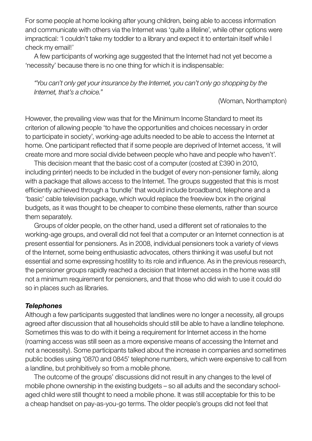For some people at home looking after young children, being able to access information and communicate with others via the Internet was 'quite a lifeline', while other options were impractical: 'I couldn't take my toddler to a library and expect it to entertain itself while I check my email!'

 A few participants of working age suggested that the Internet had not yet become a 'necessity' because there is no one thing for which it is indispensable:

*"You can't only get your insurance by the Internet, you can't only go shopping by the Internet, that's a choice."*

(Woman, Northampton)

However, the prevailing view was that for the Minimum Income Standard to meet its criterion of allowing people 'to have the opportunities and choices necessary in order to participate in society', working-age adults needed to be able to access the Internet at home. One participant reflected that if some people are deprived of Internet access, 'it will create more and more social divide between people who have and people who haven't'.

 This decision meant that the basic cost of a computer (costed at £390 in 2010, including printer) needs to be included in the budget of every non-pensioner family, along with a package that allows access to the Internet. The groups suggested that this is most efficiently achieved through a 'bundle' that would include broadband, telephone and a 'basic' cable television package, which would replace the freeview box in the original budgets, as it was thought to be cheaper to combine these elements, rather than source them separately.

 Groups of older people, on the other hand, used a different set of rationales to the working-age groups, and overall did not feel that a computer or an Internet connection is at present essential for pensioners. As in 2008, individual pensioners took a variety of views of the Internet, some being enthusiastic advocates, others thinking it was useful but not essential and some expressing hostility to its role and influence. As in the previous research, the pensioner groups rapidly reached a decision that Internet access in the home was still not a minimum requirement for pensioners, and that those who did wish to use it could do so in places such as libraries.

#### *Telephones*

Although a few participants suggested that landlines were no longer a necessity, all groups agreed after discussion that all households should still be able to have a landline telephone. Sometimes this was to do with it being a requirement for Internet access in the home (roaming access was still seen as a more expensive means of accessing the Internet and not a necessity). Some participants talked about the increase in companies and sometimes public bodies using '0870 and 0845' telephone numbers, which were expensive to call from a landline, but prohibitively so from a mobile phone.

 The outcome of the groups' discussions did not result in any changes to the level of mobile phone ownership in the existing budgets – so all adults and the secondary schoolaged child were still thought to need a mobile phone. It was still acceptable for this to be a cheap handset on pay-as-you-go terms. The older people's groups did not feel that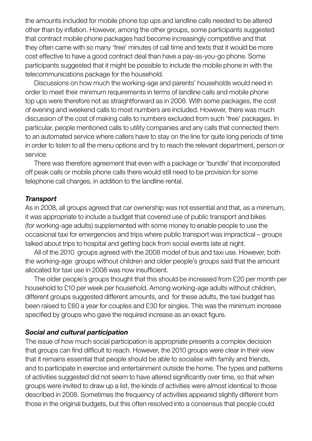the amounts included for mobile phone top ups and landline calls needed to be altered other than by inflation. However, among the other groups, some participants suggested that contract mobile phone packages had become increasingly competitive and that they often came with so many 'free' minutes of call time and texts that it would be more cost effective to have a good contract deal than have a pay-as-you-go phone. Some participants suggested that it might be possible to include the mobile phone in with the telecommunications package for the household.

 Discussions on how much the working-age and parents' households would need in order to meet their minimum requirements in terms of landline calls and mobile phone top ups were therefore not as straightforward as in 2008. With some packages, the cost of evening and weekend calls to most numbers are included. However, there was much discussion of the cost of making calls to numbers excluded from such 'free' packages. In particular, people mentioned calls to utility companies and any calls that connected them to an automated service where callers have to stay on the line for quite long periods of time in order to listen to all the menu options and try to reach the relevant department, person or service.

 There was therefore agreement that even with a package or 'bundle' that incorporated off peak calls or mobile phone calls there would still need to be provision for some telephone call charges, in addition to the landline rental.

#### *Transport*

As in 2008, all groups agreed that car ownership was not essential and that, as a minimum, it was appropriate to include a budget that covered use of public transport and bikes (for working-age adults) supplemented with some money to enable people to use the occasional taxi for emergencies and trips where public transport was impractical – groups talked about trips to hospital and getting back from social events late at night.

 All of the 2010 groups agreed with the 2008 model of bus and taxi use. However, both the working-age groups without children and older people's groups said that the amount allocated for taxi use in 2008 was now insufficient.

 The older people's groups thought that this should be increased from £20 per month per household to £10 per week per household. Among working-age adults without children, different groups suggested different amounts, and for these adults, the taxi budget has been raised to £60 a year for couples and £30 for singles. This was the minimum increase specified by groups who gave the required increase as an exact figure.

#### *Social and cultural participation*

The issue of how much social participation is appropriate presents a complex decision that groups can find difficult to reach. However, the 2010 groups were clear in their view that it remains essential that people should be able to socialise with family and friends, and to participate in exercise and entertainment outside the home. The types and patterns of activities suggested did not seem to have altered significantly over time, so that when groups were invited to draw up a list, the kinds of activities were almost identical to those described in 2008. Sometimes the frequency of activities appeared slightly different from those in the original budgets, but this often resolved into a consensus that people could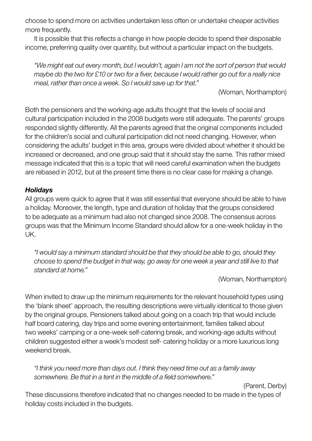choose to spend more on activities undertaken less often or undertake cheaper activities more frequently.

 It is possible that this reflects a change in how people decide to spend their disposable income, preferring quality over quantity, but without a particular impact on the budgets.

*"We might eat out every month, but I wouldn't, again I am not the sort of person that would maybe do the two for £10 or two for a fiver, because I would rather go out for a really nice meal, rather than once a week. So I would save up for that."*

(Woman, Northampton)

Both the pensioners and the working-age adults thought that the levels of social and cultural participation included in the 2008 budgets were still adequate. The parents' groups responded slightly differently. All the parents agreed that the original components included for the children's social and cultural participation did not need changing. However, when considering the adults' budget in this area, groups were divided about whether it should be increased or decreased, and one group said that it should stay the same. This rather mixed message indicated that this is a topic that will need careful examination when the budgets are rebased in 2012, but at the present time there is no clear case for making a change.

#### *Holidays*

All groups were quick to agree that it was still essential that everyone should be able to have a holiday. Moreover, the length, type and duration of holiday that the groups considered to be adequate as a minimum had also not changed since 2008. The consensus across groups was that the Minimum Income Standard should allow for a one-week holiday in the UK.

*"I would say a minimum standard should be that they should be able to go, should they choose to spend the budget in that way, go away for one week a year and still live to that standard at home."*

(Woman, Northampton)

When invited to draw up the minimum requirements for the relevant household types using the 'blank sheet' approach, the resulting descriptions were virtually identical to those given by the original groups. Pensioners talked about going on a coach trip that would include half board catering, day trips and some evening entertainment, families talked about two weeks' camping or a one-week self-catering break, and working-age adults without children suggested either a week's modest self- catering holiday or a more luxurious long weekend break.

*"I think you need more than days out. I think they need time out as a family away somewhere. Be that in a tent in the middle of a field somewhere."*

(Parent, Derby)

These discussions therefore indicated that no changes needed to be made in the types of holiday costs included in the budgets.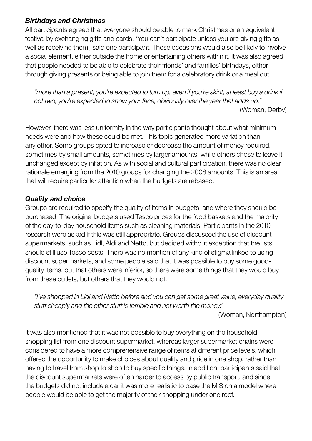#### *Birthdays and Christmas*

All participants agreed that everyone should be able to mark Christmas or an equivalent festival by exchanging gifts and cards. 'You can't participate unless you are giving gifts as well as receiving them', said one participant. These occasions would also be likely to involve a social element, either outside the home or entertaining others within it. It was also agreed that people needed to be able to celebrate their friends' and families' birthdays, either through giving presents or being able to join them for a celebratory drink or a meal out.

*"more than a present, you're expected to turn up, even if you're skint, at least buy a drink if not two, you're expected to show your face, obviously over the year that adds up."* (Woman, Derby)

However, there was less uniformity in the way participants thought about what minimum needs were and how these could be met. This topic generated more variation than any other. Some groups opted to increase or decrease the amount of money required, sometimes by small amounts, sometimes by larger amounts, while others chose to leave it unchanged except by inflation. As with social and cultural participation, there was no clear rationale emerging from the 2010 groups for changing the 2008 amounts. This is an area that will require particular attention when the budgets are rebased.

#### *Quality and choice*

Groups are required to specify the quality of items in budgets, and where they should be purchased. The original budgets used Tesco prices for the food baskets and the majority of the day-to-day household items such as cleaning materials. Participants in the 2010 research were asked if this was still appropriate. Groups discussed the use of discount supermarkets, such as Lidl, Aldi and Netto, but decided without exception that the lists should still use Tesco costs. There was no mention of any kind of stigma linked to using discount supermarkets, and some people said that it was possible to buy some goodquality items, but that others were inferior, so there were some things that they would buy from these outlets, but others that they would not.

*"I've shopped in Lidl and Netto before and you can get some great value, everyday quality stuff cheaply and the other stuff is terrible and not worth the money."*

(Woman, Northampton)

It was also mentioned that it was not possible to buy everything on the household shopping list from one discount supermarket, whereas larger supermarket chains were considered to have a more comprehensive range of items at different price levels, which offered the opportunity to make choices about quality and price in one shop, rather than having to travel from shop to shop to buy specific things. In addition, participants said that the discount supermarkets were often harder to access by public transport, and since the budgets did not include a car it was more realistic to base the MIS on a model where people would be able to get the majority of their shopping under one roof.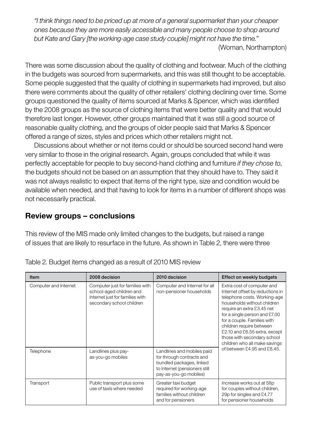*"I think things need to be priced up at more of a general supermarket than your cheaper ones because they are more easily accessible and many people choose to shop around but Kate and Gary [the working-age case study couple] might not have the time."*

(Woman, Northampton)

There was some discussion about the quality of clothing and footwear. Much of the clothing in the budgets was sourced from supermarkets, and this was still thought to be acceptable. Some people suggested that the quality of clothing in supermarkets had improved, but also there were comments about the quality of other retailers' clothing declining over time. Some groups questioned the quality of items sourced at Marks & Spencer, which was identified by the 2008 groups as the source of clothing items that were better quality and that would therefore last longer. However, other groups maintained that it was still a good source of reasonable quality clothing, and the groups of older people said that Marks & Spencer offered a range of sizes, styles and prices which other retailers might not.

 Discussions about whether or not items could or should be sourced second hand were very similar to those in the original research. Again, groups concluded that while it was perfectly acceptable for people to buy second-hand clothing and furniture *if they chose to*, the budgets should not be based on an assumption that they should have to. They said it was not always realistic to expect that items of the right type, size and condition would be available when needed, and that having to look for items in a number of different shops was not necessarily practical.

#### **Review groups – conclusions**

This review of the MIS made only limited changes to the budgets, but raised a range of issues that are likely to resurface in the future. As shown in Table 2, there were three

| Item                  | 2008 decision                                                                                                               | 2010 decision                                                                                                                                  | Effect on weekly budgets                                                                                                                                                                                                                                                                                                                                 |  |
|-----------------------|-----------------------------------------------------------------------------------------------------------------------------|------------------------------------------------------------------------------------------------------------------------------------------------|----------------------------------------------------------------------------------------------------------------------------------------------------------------------------------------------------------------------------------------------------------------------------------------------------------------------------------------------------------|--|
| Computer and Internet | Computer just for families with<br>school-aged children and<br>Internet just for families with<br>secondary school children | Computer and Internet for all<br>non-pensioner households                                                                                      | Extra cost of computer and<br>Internet offset by reductions in<br>telephone costs. Working-age<br>households without children<br>require an extra £3.45 net<br>for a single person and £7.00<br>for a couple. Families with<br>children require between<br>£2.10 and £6.55 extra, except<br>those with secondary school<br>children who all make savings |  |
| Telephone             | Landlines plus pay-<br>as-you-go mobiles                                                                                    | Landlines and mobiles paid<br>for through contracts and<br>bundled packages, linked<br>to Internet (pensioners still<br>pay-as-you-go mobiles) | of between $£4.95$ and $£8.45$ .                                                                                                                                                                                                                                                                                                                         |  |
| Transport             | Public transport plus some<br>use of taxis where needed                                                                     | Greater taxi budget<br>required for working-age<br>families without children<br>and for pensioners                                             | Increase works out at 58p<br>for couples without children,<br>29p for singles and £4.77<br>for pensioner households                                                                                                                                                                                                                                      |  |

| Table 2. Budget items changed as a result of 2010 MIS review |  |  |
|--------------------------------------------------------------|--|--|
|                                                              |  |  |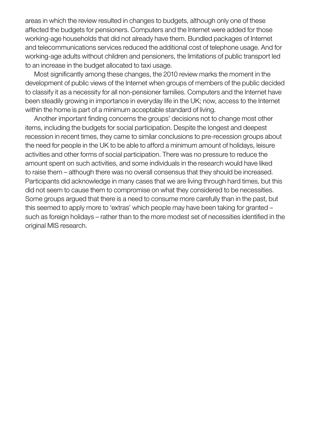areas in which the review resulted in changes to budgets, although only one of these affected the budgets for pensioners. Computers and the Internet were added for those working-age households that did not already have them. Bundled packages of Internet and telecommunications services reduced the additional cost of telephone usage. And for working-age adults without children and pensioners, the limitations of public transport led to an increase in the budget allocated to taxi usage.

 Most significantly among these changes, the 2010 review marks the moment in the development of public views of the Internet when groups of members of the public decided to classify it as a necessity for all non-pensioner families. Computers and the Internet have been steadily growing in importance in everyday life in the UK; now, access to the Internet within the home is part of a minimum acceptable standard of living.

 Another important finding concerns the groups' decisions not to change most other items, including the budgets for social participation. Despite the longest and deepest recession in recent times, they came to similar conclusions to pre-recession groups about the need for people in the UK to be able to afford a minimum amount of holidays, leisure activities and other forms of social participation. There was no pressure to reduce the amount spent on such activities, and some individuals in the research would have liked to raise them – although there was no overall consensus that they should be increased. Participants did acknowledge in many cases that we are living through hard times, but this did not seem to cause them to compromise on what they considered to be necessities. Some groups argued that there is a need to consume more carefully than in the past, but this seemed to apply more to 'extras' which people may have been taking for granted – such as foreign holidays – rather than to the more modest set of necessities identified in the original MIS research.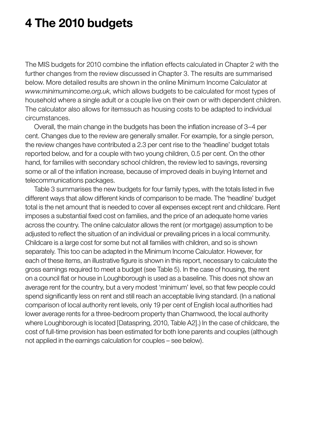# <span id="page-22-0"></span>**4 The 2010 budgets**

The MIS budgets for 2010 combine the inflation effects calculated in Chapter 2 with the further changes from the review discussed in Chapter 3. The results are summarised below. More detailed results are shown in the online Minimum Income Calculator at *www.minimumincome.org.uk*, which allows budgets to be calculated for most types of household where a single adult or a couple live on their own or with dependent children. The calculator also allows for itemssuch as housing costs to be adapted to individual circumstances.

 Overall, the main change in the budgets has been the inflation increase of 3–4 per cent. Changes due to the review are generally smaller. For example, for a single person, the review changes have contributed a 2.3 per cent rise to the 'headline' budget totals reported below, and for a couple with two young children, 0.5 per cent. On the other hand, for families with secondary school children, the review led to savings, reversing some or all of the inflation increase, because of improved deals in buying Internet and telecommunications packages.

 Table 3 summarises the new budgets for four family types, with the totals listed in five different ways that allow different kinds of comparison to be made. The 'headline' budget total is the net amount that is needed to cover all expenses except rent and childcare. Rent imposes a substantial fixed cost on families, and the price of an adequate home varies across the country. The online calculator allows the rent (or mortgage) assumption to be adjusted to reflect the situation of an individual or prevailing prices in a local community. Childcare is a large cost for some but not all families with children, and so is shown separately. This too can be adapted in the Minimum Income Calculator. However, for each of these items, an illustrative figure is shown in this report, necessary to calculate the gross earnings required to meet a budget (see Table 5). In the case of housing, the rent on a council flat or house in Loughborough is used as a baseline. This does not show an average rent for the country, but a very modest 'minimum' level, so that few people could spend significantly less on rent and still reach an acceptable living standard. (In a national comparison of local authority rent levels, only 19 per cent of English local authorities had lower average rents for a three-bedroom property than Charnwood, the local authority where Loughborough is located [Dataspring, 2010, Table A2].) In the case of childcare, the cost of full-time provision has been estimated for both lone parents and couples (although not applied in the earnings calculation for couples – see below).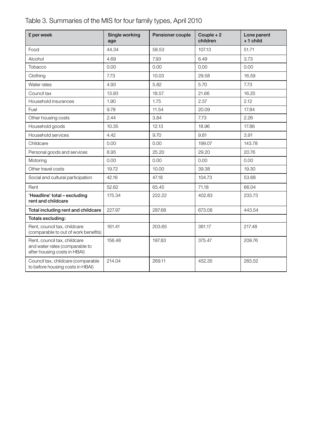| £ per week                                                                                     | Single working<br>age | Pensioner couple | Couple $+2$<br>children | Lone parent<br>$+1$ child |
|------------------------------------------------------------------------------------------------|-----------------------|------------------|-------------------------|---------------------------|
| Food                                                                                           | 44.34                 | 58.53            | 107.13                  | 51.71                     |
| Alcohol                                                                                        | 4.69                  | 7.93             | 6.49                    | 3.73                      |
| Tobacco                                                                                        | 0.00                  | 0.00             | 0.00                    | 0.00                      |
| Clothing                                                                                       | 7.73                  | 10.03            | 29.58                   | 16.59                     |
| Water rates                                                                                    | 4.93                  | 5.82             | 5.70                    | 7.73                      |
| Council tax                                                                                    | 13.93                 | 18.57            | 21.66                   | 16.25                     |
| Household insurances                                                                           | 1.90                  | 1.75             | 2.37                    | 2.12                      |
| Fuel                                                                                           | 9.78                  | 11.54            | 20.09                   | 17.84                     |
| Other housing costs                                                                            | 2.44                  | 3.84             | 7.73                    | 2.26                      |
| Household goods                                                                                | 10.35                 | 12.13            | 18.96                   | 17.86                     |
| Household services                                                                             | 4.42                  | 9.70             | 9.81                    | 3.91                      |
| Childcare                                                                                      | 0.00                  | 0.00             | 199.07                  | 143.78                    |
| Personal goods and services                                                                    | 8.95                  | 25.20            | 29.20                   | 20.76                     |
| Motoring                                                                                       | 0.00                  | 0.00             | 0.00                    | 0.00                      |
| Other travel costs                                                                             | 19.72                 | 10.00            | 39.38                   | 19.30                     |
| Social and cultural participation                                                              | 42.16                 | 47.18            | 104.73                  | 53.68                     |
| Rent                                                                                           | 52.62                 | 65.45            | 71.18                   | 66.04                     |
| 'Headline' total - excluding<br>rent and childcare                                             | 175.34                | 222.22           | 402.83                  | 233.73                    |
| Total including rent and childcare                                                             | 227.97                | 287.68           | 673.08                  | 443.54                    |
| Totals excluding:                                                                              |                       |                  |                         |                           |
| Rent, council tax, childcare<br>(comparable to out of work benefits)                           | 161.41                | 203.65           | 381.17                  | 217.48                    |
| Rent, council tax, childcare<br>and water rates (comparable to<br>after housing costs in HBAI) | 156.48                | 197.83           | 375.47                  | 209.76                    |
| Council tax, childcare (comparable<br>to before housing costs in HBAI)                         | 214.04                | 269.11           | 452.35                  | 283.52                    |

#### Table 3. Summaries of the MIS for four family types, April 2010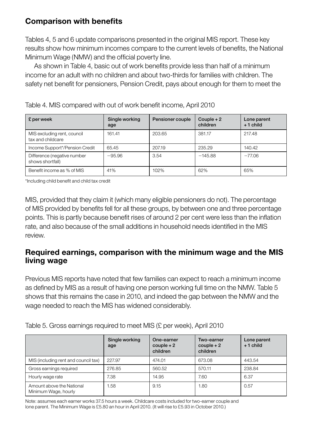#### **Comparison with benefits**

Tables 4, 5 and 6 update comparisons presented in the original MIS report. These key results show how minimum incomes compare to the current levels of benefits, the National Minimum Wage (NMW) and the official poverty line.

 As shown in Table 4, basic out of work benefits provide less than half of a minimum income for an adult with no children and about two-thirds for families with children. The safety net benefit for pensioners, Pension Credit, pays about enough for them to meet the

| £ per week                                       | Single working<br>age | Pensioner couple | Couple $+2$<br>children | Lone parent<br>$+1$ child |
|--------------------------------------------------|-----------------------|------------------|-------------------------|---------------------------|
| MIS excluding rent, council<br>tax and childcare | 161.41                | 203.65           | 381.17                  | 217.48                    |
| Income Support*/Pension Credit                   | 65.45                 | 207.19           | 235.29                  | 140.42                    |
| Difference (negative number<br>shows shortfall)  | $-95.96$              | 3.54             | $-145.88$               | $-77.06$                  |
| Benefit income as % of MIS                       | 41%                   | 102%             | 62%                     | 65%                       |

Table 4. MIS compared with out of work benefit income, April 2010

\*Including child benefit and child tax credit

MIS, provided that they claim it (which many eligible pensioners do not). The percentage of MIS provided by benefits fell for all these groups, by between one and three percentage points. This is partly because benefit rises of around 2 per cent were less than the inflation rate, and also because of the small additions in household needs identified in the MIS review.

#### **Required earnings, comparison with the minimum wage and the MIS living wage**

Previous MIS reports have noted that few families can expect to reach a minimum income as defined by MIS as a result of having one person working full time on the NMW. Table 5 shows that this remains the case in 2010, and indeed the gap between the NMW and the wage needed to reach the MIS has widened considerably.

|                                                   | Single working<br>age | One-earner<br>$couple + 2$<br>children | Two-earner<br>$couple + 2$<br>children | Lone parent<br>$+1$ child |
|---------------------------------------------------|-----------------------|----------------------------------------|----------------------------------------|---------------------------|
| MIS (including rent and council tax)              | 227.97                | 474.01                                 | 673.08                                 | 443.54                    |
| Gross earnings required                           | 276.85                | 560.52                                 | 570.11                                 | 238.84                    |
| Hourly wage rate                                  | 7.38                  | 14.95                                  | 7.60                                   | 6.37                      |
| Amount above the National<br>Minimum Wage, hourly | .58                   | 9.15                                   | 1.80                                   | 0.57                      |

Table 5. Gross earnings required to meet MIS (£ per week), April 2010

Note: assumes each earner works 37.5 hours a week. Childcare costs included for two-earner couple and lone parent. The Minimum Wage is £5.80 an hour in April 2010. (It will rise to £5.93 in October 2010.)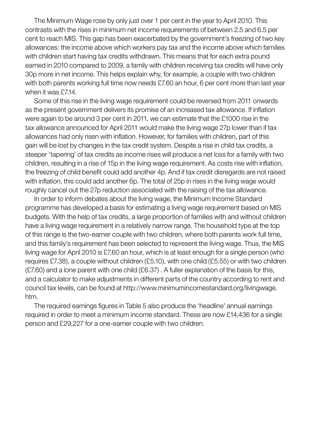The Minimum Wage rose by only just over 1 per cent in the year to April 2010. This contrasts with the rises in minimum net income requirements of between 2.5 and 6.5 per cent to reach MIS. This gap has been exacerbated by the government's freezing of two key allowances: the income above which workers pay tax and the income above which families with children start having tax credits withdrawn. This means that for each extra pound earned in 2010 compared to 2009, a family with children receiving tax credits will have only 30p more in net income. This helps explain why, for example, a couple with two children with both parents working full time now needs £7.60 an hour, 6 per cent more than last year when it was £7.14.

 Some of this rise in the living wage requirement could be reversed from 2011 onwards as the present government delivers its promise of an increased tax allowance. If inflation were again to be around 3 per cent in 2011, we can estimate that the £1000 rise in the tax allowance announced for April 2011 would make the living wage 27p lower than if tax allowances had only risen with inflation. However, for families with children, part of this gain will be lost by changes in the tax credit system. Despite a rise in child tax credits, a steeper 'tapering' of tax credits as income rises will produce a net loss for a family with two children, resulting in a rise of 15p in the living wage requirement. As costs rise with inflation, the freezing of child benefit could add another 4p. And if tax credit disregards are not raised with inflation, this could add another 6p. The total of 25p in rises in the living wage would roughly cancel out the 27p reduction associated with the raising of the tax allowance.

 In order to inform debates about the living wage, the Minimum Income Standard programme has developed a basis for estimating a living wage requirement based on MIS budgets. With the help of tax credits, a large proportion of families with and without children have a living wage requirement in a relatively narrow range. The household type at the top of this range is the two-earner couple with two children, where both parents work full time, and this family's requirement has been selected to represent the living wage. Thus, the MIS living wage for April 2010 is £7.60 an hour, which is at least enough for a single person (who requires £7.38), a couple without children (£5.10), with one child (£5.55) or with two children (£7.60) and a lone parent with one child (£6.37) . A fuller explanation of the basis for this, and a calculator to make adjustments in different parts of the country according to rent and council tax levels, can be found at http://www.minimumincomestandard.org/livingwage. htm.

 The required earnings figures in Table 5 also produce the 'headline' annual earnings required in order to meet a minimum income standard. These are now £14,436 for a single person and £29,227 for a one-earner couple with two children.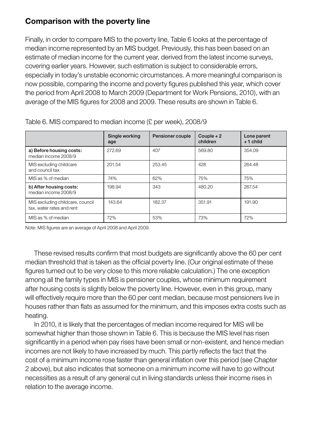#### **Comparison with the poverty line**

Finally, in order to compare MIS to the poverty line, Table 6 looks at the percentage of median income represented by an MIS budget. Previously, this has been based on an estimate of median income for the current year, derived from the latest income surveys, covering earlier years. However, such estimation is subject to considerable errors, especially in today's unstable economic circumstances. A more meaningful comparison is now possible, comparing the income and poverty figures published this year, which cover the period from April 2008 to March 2009 (Department for Work Pensions, 2010), with an average of the MIS figures for 2008 and 2009. These results are shown in Table 6.

|                                                               | Single working<br>age | Pensioner couple | Couple $+2$<br>children | Lone parent<br>$+1$ child |
|---------------------------------------------------------------|-----------------------|------------------|-------------------------|---------------------------|
| a) Before housing costs:<br>median income 2008/9              | 272.69                | 407              | 569.80                  | 354.09                    |
| MIS excluding childcare<br>and council tax                    | 201.54                | 253.45           | 428                     | 264.48                    |
| MIS as % of median                                            | 74%                   | 62%              | 75%                     | 75%                       |
| b) After housing costs:<br>median income 2008/9               | 198.94                | 343              | 480.20                  | 267.54                    |
| MIS excluding childcare, council<br>tax, water rates and rent | 143.64                | 182.37           | 351.91                  | 191.90                    |
| MIS as % of median                                            | 72%                   | 53%              | 73%                     | 72%                       |

Table 6. MIS compared to median income (£ per week), 2008/9

Note: MIS figures are an average of April 2008 and April 2009.

 These revised results confirm that most budgets are significantly above the 60 per cent median threshold that is taken as the official poverty line. (Our original estimate of these figures turned out to be very close to this more reliable calculation.) The one exception among all the family types in MIS is pensioner couples, whose minimum requirement after housing costs is slightly below the poverty line. However, even in this group, many will effectively require more than the 60 per cent median, because most pensioners live in houses rather than flats as assumed for the minimum, and this imposes extra costs such as heating.

 In 2010, it is likely that the percentages of median income required for MIS will be somewhat higher than those shown in Table 6. This is because the MIS level has risen significantly in a period when pay rises have been small or non-existent, and hence median incomes are not likely to have increased by much. This partly reflects the fact that the cost of a minimum income rose faster than general inflation over this period (see Chapter 2 above), but also indicates that someone on a minimum income will have to go without necessities as a result of any general cut in living standards unless their income rises in relation to the average income.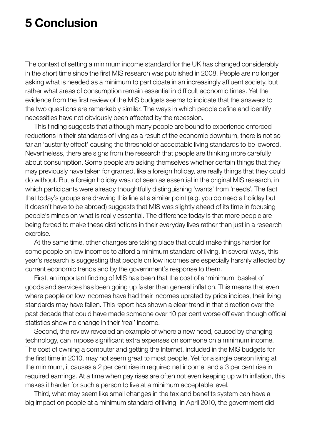### <span id="page-27-0"></span>**5 Conclusion**

The context of setting a minimum income standard for the UK has changed considerably in the short time since the first MIS research was published in 2008. People are no longer asking what is needed as a minimum to participate in an increasingly affluent society, but rather what areas of consumption remain essential in difficult economic times. Yet the evidence from the first review of the MIS budgets seems to indicate that the answers to the two questions are remarkably similar. The ways in which people define and identify necessities have not obviously been affected by the recession.

 This finding suggests that although many people are bound to experience enforced reductions in their standards of living as a result of the economic downturn, there is not so far an 'austerity effect' causing the threshold of acceptable living standards to be lowered. Nevertheless, there are signs from the research that people are thinking more carefully about consumption. Some people are asking themselves whether certain things that they may previously have taken for granted, like a foreign holiday, are really things that they could do without. But a foreign holiday was not seen as essential in the original MIS research, in which participants were already thoughtfully distinguishing 'wants' from 'needs'. The fact that today's groups are drawing this line at a similar point (e.g. you do need a holiday but it doesn't have to be abroad) suggests that MIS was slightly ahead of its time in focusing people's minds on what is really essential. The difference today is that more people are being forced to make these distinctions in their everyday lives rather than just in a research exercise.

 At the same time, other changes are taking place that could make things harder for some people on low incomes to afford a minimum standard of living. In several ways, this year's research is suggesting that people on low incomes are especially harshly affected by current economic trends and by the government's response to them.

 First, an important finding of MIS has been that the cost of a 'minimum' basket of goods and services has been going up faster than general inflation. This means that even where people on low incomes have had their incomes uprated by price indices, their living standards may have fallen. This report has shown a clear trend in that direction over the past decade that could have made someone over 10 per cent worse off even though official statistics show no change in their 'real' income.

 Second, the review revealed an example of where a new need, caused by changing technology, can impose significant extra expenses on someone on a minimum income. The cost of owning a computer and getting the Internet, included in the MIS budgets for the first time in 2010, may not seem great to most people. Yet for a single person living at the minimum, it causes a 2 per cent rise in required net income, and a 3 per cent rise in required earnings. At a time when pay rises are often not even keeping up with inflation, this makes it harder for such a person to live at a minimum acceptable level.

 Third, what may seem like small changes in the tax and benefits system can have a big impact on people at a minimum standard of living. In April 2010, the government did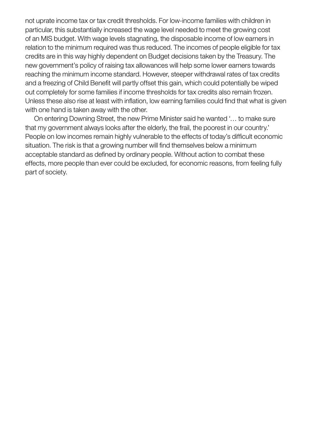not uprate income tax or tax credit thresholds. For low-income families with children in particular, this substantially increased the wage level needed to meet the growing cost of an MIS budget. With wage levels stagnating, the disposable income of low earners in relation to the minimum required was thus reduced. The incomes of people eligible for tax credits are in this way highly dependent on Budget decisions taken by the Treasury. The new government's policy of raising tax allowances will help some lower earners towards reaching the minimum income standard. However, steeper withdrawal rates of tax credits and a freezing of Child Benefit will partly offset this gain, which could potentially be wiped out completely for some families if income thresholds for tax credits also remain frozen. Unless these also rise at least with inflation, low earning families could find that what is given with one hand is taken away with the other.

 On entering Downing Street, the new Prime Minister said he wanted '… to make sure that my government always looks after the elderly, the frail, the poorest in our country.' People on low incomes remain highly vulnerable to the effects of today's difficult economic situation. The risk is that a growing number will find themselves below a minimum acceptable standard as defined by ordinary people. Without action to combat these effects, more people than ever could be excluded, for economic reasons, from feeling fully part of society.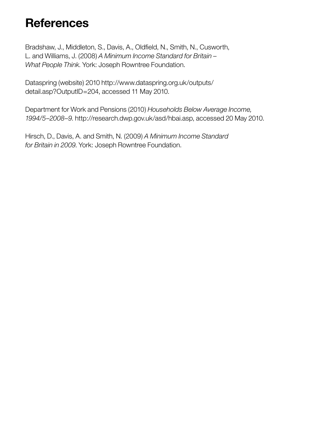# <span id="page-29-0"></span>**References**

Bradshaw, J., Middleton, S., Davis, A., Oldfield, N., Smith, N., Cusworth, L. and Williams, J. (2008) *A Minimum Income Standard for Britain – What People Think*. York: Joseph Rowntree Foundation.

Dataspring (website) 2010 http://www.dataspring.org.uk/outputs/ detail.asp?OutputID=204, accessed 11 May 2010.

Department for Work and Pensions (2010) *Households Below Average Income, 1994/5–2008–9*. http://research.dwp.gov.uk/asd/hbai.asp, accessed 20 May 2010.

Hirsch, D., Davis, A. and Smith, N. (2009) *A Minimum Income Standard for Britain in 2009*. York: Joseph Rowntree Foundation.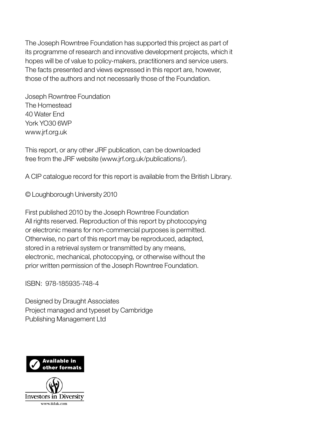The Joseph Rowntree Foundation has supported this project as part of its programme of research and innovative development projects, which it hopes will be of value to policy-makers, practitioners and service users. The facts presented and views expressed in this report are, however, those of the authors and not necessarily those of the Foundation.

Joseph Rowntree Foundation The Homestead 40 Water End York YO30 6WP www.jrf.org.uk

This report, or any other JRF publication, can be downloaded free from the JRF website (www.jrf.org.uk/publications/).

A CIP catalogue record for this report is available from the British Library.

© Loughborough University 2010

First published 2010 by the Joseph Rowntree Foundation All rights reserved. Reproduction of this report by photocopying or electronic means for non-commercial purposes is permitted. Otherwise, no part of this report may be reproduced, adapted, stored in a retrieval system or transmitted by any means, electronic, mechanical, photocopying, or otherwise without the prior written permission of the Joseph Rowntree Foundation.

ISBN: 978-185935-748-4

Designed by Draught Associates Project managed and typeset by Cambridge Publishing Management Ltd